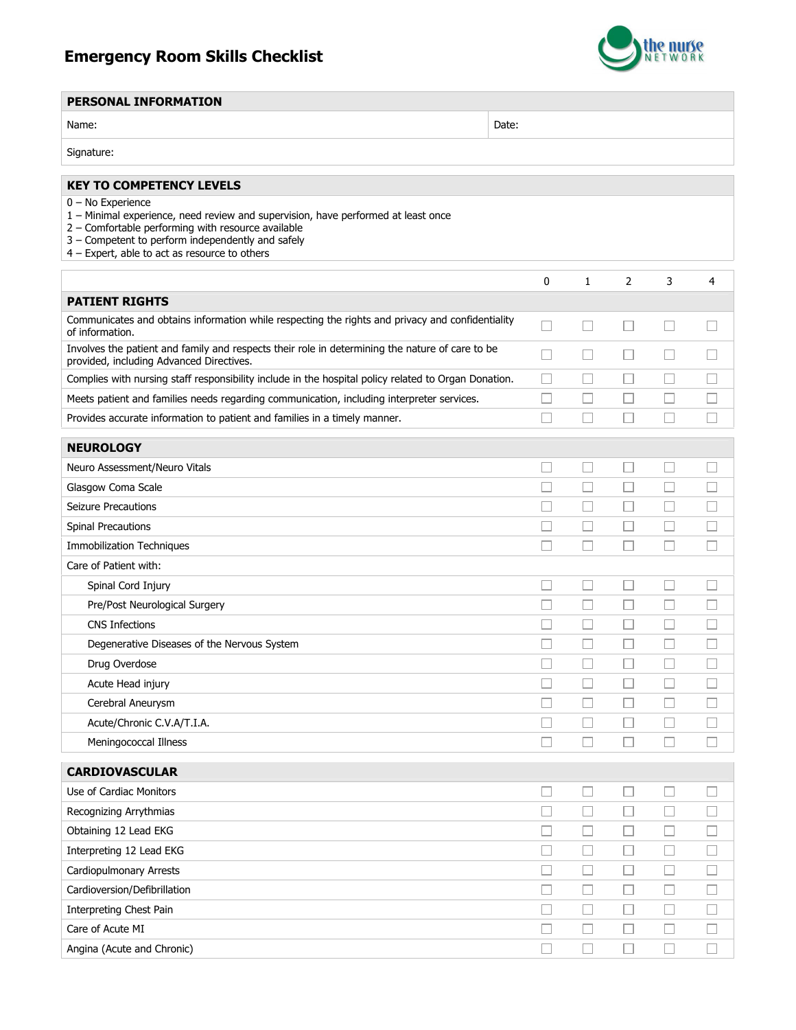## Emergency Room Skills Checklist



## PERSONAL INFORMATION

| ٩ |
|---|

Name: Name: 2006. Note: 2006. Note: 2006. Note: 2006. Note: 2006. Note: 2006. Note: 2006. Note: 2006. Note: 2006. Note: 2006. Note: 2006. Note: 2006. Note: 2006. Note: 2006. Note: 2006. Note: 2006. Note: 2006. Note: 2006.

| Signature: |
|------------|
|------------|

| <b>KEY TO COMPETENCY LEVELS</b>                                                                                                                                                                                                                                      |        |                          |        |        |                          |
|----------------------------------------------------------------------------------------------------------------------------------------------------------------------------------------------------------------------------------------------------------------------|--------|--------------------------|--------|--------|--------------------------|
| $0 - No$ Experience<br>1 - Minimal experience, need review and supervision, have performed at least once<br>2 - Comfortable performing with resource available<br>3 - Competent to perform independently and safely<br>4 - Expert, able to act as resource to others |        |                          |        |        |                          |
|                                                                                                                                                                                                                                                                      | 0      | $\mathbf{1}$             | 2      | 3      | 4                        |
| <b>PATIENT RIGHTS</b>                                                                                                                                                                                                                                                |        |                          |        |        |                          |
| Communicates and obtains information while respecting the rights and privacy and confidentiality<br>of information.                                                                                                                                                  | П      |                          |        |        |                          |
| Involves the patient and family and respects their role in determining the nature of care to be<br>provided, including Advanced Directives.                                                                                                                          | П      | $\mathbf{1}$             |        |        |                          |
| Complies with nursing staff responsibility include in the hospital policy related to Organ Donation.                                                                                                                                                                 | П      | П                        |        | П      |                          |
| Meets patient and families needs regarding communication, including interpreter services.                                                                                                                                                                            |        | $\overline{\phantom{a}}$ |        |        |                          |
| Provides accurate information to patient and families in a timely manner.                                                                                                                                                                                            |        | П                        |        |        |                          |
| <b>NEUROLOGY</b>                                                                                                                                                                                                                                                     |        |                          |        |        |                          |
| Neuro Assessment/Neuro Vitals                                                                                                                                                                                                                                        | H      | $\overline{\phantom{a}}$ | ப      | L.     |                          |
| Glasgow Coma Scale                                                                                                                                                                                                                                                   |        | П                        |        | Г      |                          |
| <b>Seizure Precautions</b>                                                                                                                                                                                                                                           |        | $\overline{\phantom{a}}$ | Ш      | L      |                          |
| <b>Spinal Precautions</b>                                                                                                                                                                                                                                            |        | $\Box$                   |        |        |                          |
| <b>Immobilization Techniques</b>                                                                                                                                                                                                                                     |        | H.                       |        |        |                          |
| Care of Patient with:                                                                                                                                                                                                                                                |        |                          |        |        |                          |
| Spinal Cord Injury                                                                                                                                                                                                                                                   |        | $\Box$                   |        | L.     |                          |
| Pre/Post Neurological Surgery                                                                                                                                                                                                                                        |        | П                        |        | E      |                          |
| <b>CNS Infections</b>                                                                                                                                                                                                                                                |        | $\overline{\phantom{a}}$ | ⊔      | L      |                          |
| Degenerative Diseases of the Nervous System                                                                                                                                                                                                                          |        | П                        | Ш      | Г      |                          |
| Drug Overdose                                                                                                                                                                                                                                                        |        | $\Box$                   | ш      | L      | $\overline{\phantom{a}}$ |
| Acute Head injury                                                                                                                                                                                                                                                    |        | $\sim$                   | $\Box$ | E      | $\sim$                   |
| Cerebral Aneurysm                                                                                                                                                                                                                                                    |        | П                        | Ш      | L      |                          |
| Acute/Chronic C.V.A/T.I.A.                                                                                                                                                                                                                                           |        | П                        |        | Г      |                          |
| Meningococcal Illness                                                                                                                                                                                                                                                |        | H                        |        |        |                          |
| <b>CARDIOVASCULAR</b>                                                                                                                                                                                                                                                |        |                          |        |        |                          |
| Use of Cardiac Monitors                                                                                                                                                                                                                                              | $\Box$ | $\Box$                   | □      | □      | $\Box$                   |
| Recognizing Arrythmias                                                                                                                                                                                                                                               | $\Box$ | $\Box$                   | ⊔      | $\Box$ | ⊔                        |
| Obtaining 12 Lead EKG                                                                                                                                                                                                                                                | □      | u                        | Ш      | □      | $\Box$                   |
| Interpreting 12 Lead EKG                                                                                                                                                                                                                                             | $\Box$ | ⊔                        | ப      | ⊔      | $\Box$                   |
| Cardiopulmonary Arrests                                                                                                                                                                                                                                              | $\Box$ | $\Box$                   | □      | $\Box$ | $\Box$                   |
| Cardioversion/Defibrillation                                                                                                                                                                                                                                         | $\Box$ | u                        | Ш      | Ш      | $\Box$                   |
| Interpreting Chest Pain                                                                                                                                                                                                                                              | $\Box$ | $\Box$                   | □      | □      | $\Box$                   |
| Care of Acute MI                                                                                                                                                                                                                                                     | $\Box$ | $\Box$                   | Ш      | L      | $\Box$                   |
| Angina (Acute and Chronic)                                                                                                                                                                                                                                           | $\Box$ | $\Box$                   | $\Box$ | $\Box$ | $\Box$                   |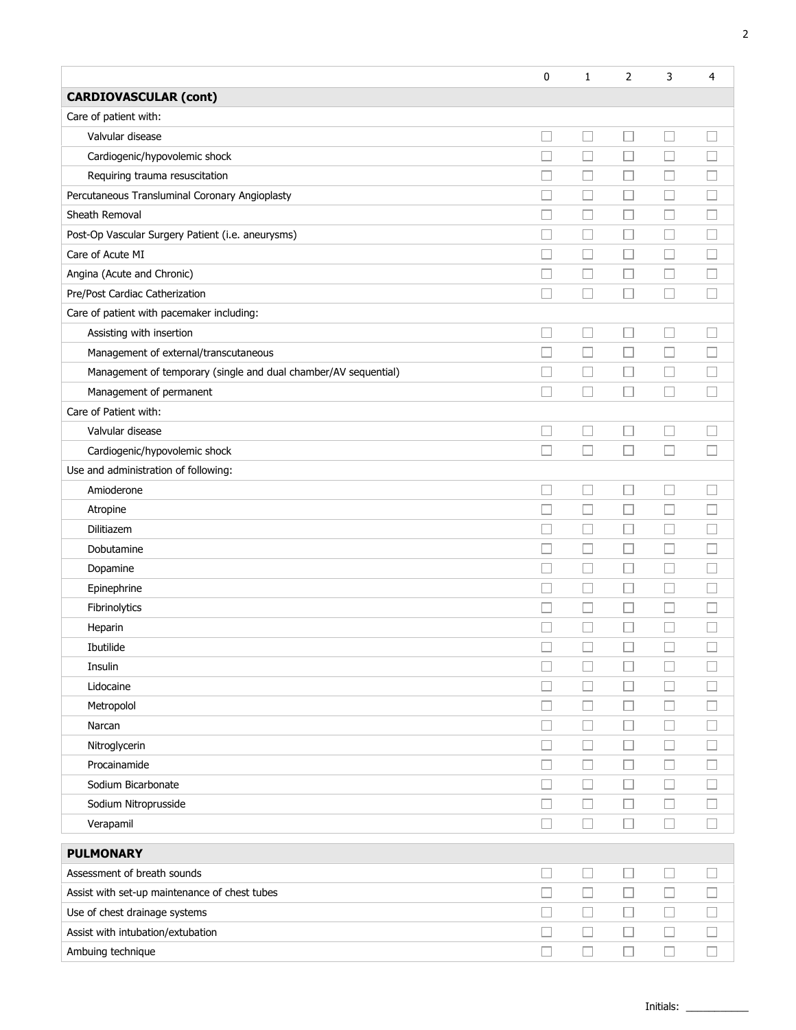|                                                                 | 0                        | $\mathbf{1}$ | 2      | 3      | 4      |
|-----------------------------------------------------------------|--------------------------|--------------|--------|--------|--------|
| <b>CARDIOVASCULAR (cont)</b>                                    |                          |              |        |        |        |
| Care of patient with:                                           |                          |              |        |        |        |
| Valvular disease                                                |                          | $\Box$       | □      | □      |        |
| Cardiogenic/hypovolemic shock                                   |                          | $\Box$       | $\Box$ | $\Box$ |        |
| Requiring trauma resuscitation                                  |                          | H            | Ш      | $\Box$ |        |
| Percutaneous Transluminal Coronary Angioplasty                  |                          | $\Box$       | Ш      | □      |        |
| Sheath Removal                                                  |                          | □            | П      | $\Box$ |        |
| Post-Op Vascular Surgery Patient (i.e. aneurysms)               |                          | Ш            | Ш      | $\Box$ |        |
| Care of Acute MI                                                |                          | L.           | ш      | L.     |        |
| Angina (Acute and Chronic)                                      |                          | $\Box$       | ப      | ⊔      |        |
| Pre/Post Cardiac Catherization                                  |                          | П            | П      | П      |        |
| Care of patient with pacemaker including:                       |                          |              |        |        |        |
| Assisting with insertion                                        |                          | $\Box$       | Ш      | ⊏      |        |
| Management of external/transcutaneous                           |                          | Ш            | □      | $\Box$ |        |
| Management of temporary (single and dual chamber/AV sequential) |                          | □            | □      | $\Box$ |        |
| Management of permanent                                         |                          | $\sim$       | $\Box$ | L      |        |
| Care of Patient with:                                           |                          |              |        |        |        |
| Valvular disease                                                |                          | □            | $\Box$ | П      |        |
| Cardiogenic/hypovolemic shock                                   | П                        | $\Box$       | П      | $\Box$ |        |
| Use and administration of following:                            |                          |              |        |        |        |
| Amioderone                                                      | $\overline{\phantom{a}}$ | □            | П      | $\Box$ |        |
| Atropine                                                        | П                        | $\Box$       | $\Box$ | $\Box$ |        |
| Dilitiazem                                                      | П                        | $\Box$       | $\Box$ | $\Box$ |        |
| Dobutamine                                                      | □                        | $\Box$       | $\sim$ | $\Box$ |        |
| Dopamine                                                        | п                        | $\Box$       | $\Box$ | ⊏      |        |
| Epinephrine                                                     | П                        | □            | □      | ⊏      |        |
| Fibrinolytics                                                   |                          | $\Box$       | $\Box$ | Е      |        |
| Heparin                                                         |                          | п            |        | П      |        |
| Ibutilide                                                       |                          |              |        |        |        |
| Insulin                                                         | $\Box$                   | $\Box$       |        | $\Box$ |        |
| Lidocaine                                                       |                          | $\Box$       | $\Box$ | $\Box$ |        |
| Metropolol                                                      |                          | $\Box$       | $\Box$ | $\Box$ |        |
| Narcan                                                          | □                        | $\Box$       | $\Box$ | $\Box$ |        |
| Nitroglycerin                                                   |                          | $\Box$       | П      | $\Box$ |        |
| Procainamide                                                    | $\overline{\phantom{a}}$ | $\Box$       | □      | $\Box$ | ப      |
| Sodium Bicarbonate                                              |                          | $\Box$       | $\Box$ | $\Box$ |        |
| Sodium Nitroprusside                                            | $\Box$                   | $\Box$       | □      | □      | $\Box$ |
| Verapamil                                                       | П                        | □            | П      | □      | П      |
| <b>PULMONARY</b>                                                |                          |              |        |        |        |
| Assessment of breath sounds                                     | $\Box$                   | $\Box$       | $\Box$ | $\Box$ |        |
| Assist with set-up maintenance of chest tubes                   | $\Box$                   | $\Box$       | $\Box$ | $\Box$ |        |
| Use of chest drainage systems                                   |                          | $\Box$       | $\Box$ | $\Box$ |        |
| Assist with intubation/extubation                               |                          | $\Box$       | $\Box$ | $\Box$ | $\Box$ |
| Ambuing technique                                               | $\Box$                   | $\Box$       | $\Box$ | $\Box$ | $\Box$ |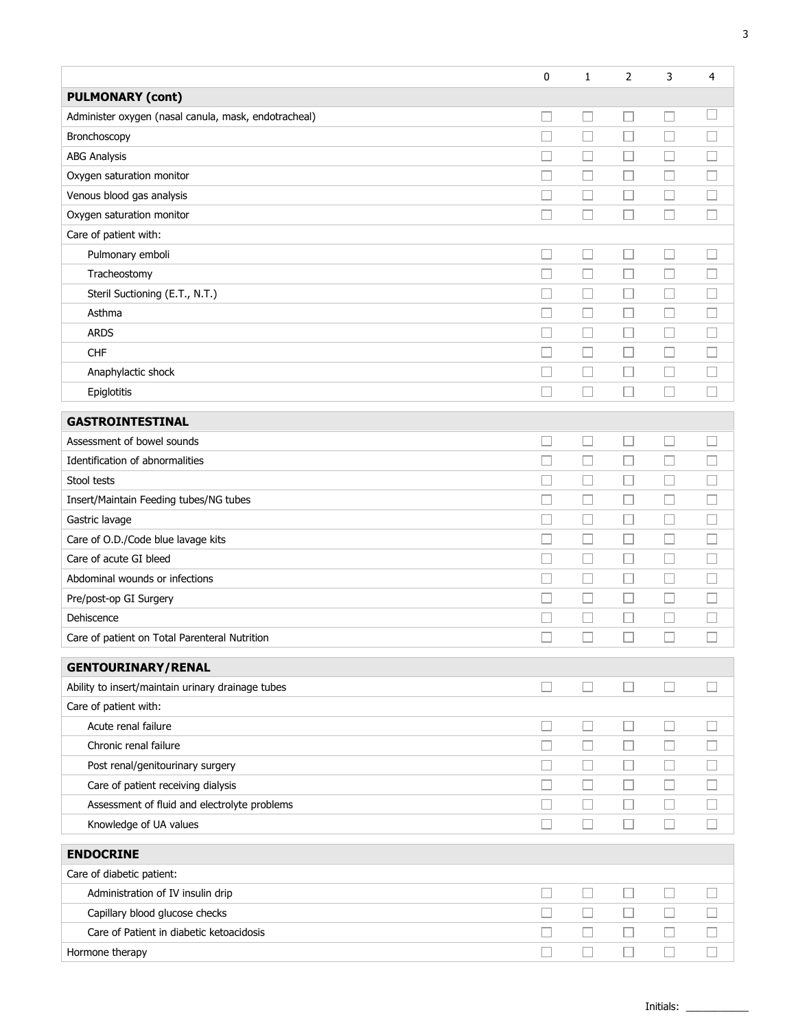|                                                      | $\mathbf 0$                 | 1                        | $\overline{2}$ | 3                        | 4      |
|------------------------------------------------------|-----------------------------|--------------------------|----------------|--------------------------|--------|
| <b>PULMONARY (cont)</b>                              |                             |                          |                |                          |        |
| Administer oxygen (nasal canula, mask, endotracheal) |                             | $\Box$                   |                |                          | L      |
| Bronchoscopy                                         |                             | $\overline{\phantom{a}}$ |                | Ш                        | H      |
| <b>ABG Analysis</b>                                  |                             |                          |                |                          |        |
| Oxygen saturation monitor                            |                             | $\Box$                   |                | ப                        | $\Box$ |
| Venous blood gas analysis                            |                             | $\overline{\phantom{a}}$ |                |                          |        |
| Oxygen saturation monitor                            |                             | $\Box$                   |                |                          |        |
| Care of patient with:                                |                             |                          |                |                          |        |
| Pulmonary emboli                                     | $\overline{\phantom{a}}$    | $\Box$                   | ⊔              | $\Box$                   |        |
| Tracheostomy                                         |                             | □                        |                | $\Box$                   | П      |
| Steril Suctioning (E.T., N.T.)                       |                             | $\Box$                   |                | ⊔                        | ш      |
| Asthma                                               |                             | $\Box$                   |                | □                        | Ш      |
| <b>ARDS</b>                                          |                             | $\Box$                   | $\Box$         | $\Box$                   | ш      |
| <b>CHF</b>                                           |                             | □                        |                | □                        | П      |
| Anaphylactic shock                                   |                             | Ш                        |                |                          | $\Box$ |
| Epiglotitis                                          |                             | $\Box$                   | П              | $\Box$                   | П      |
| <b>GASTROINTESTINAL</b>                              |                             |                          |                |                          |        |
| Assessment of bowel sounds                           |                             | $\Box$                   | H              | ⊔                        | $\Box$ |
| Identification of abnormalities                      |                             | $\Box$                   |                | □                        | $\Box$ |
| Stool tests                                          |                             | ⊔                        | $\Box$         | ⊔                        |        |
| Insert/Maintain Feeding tubes/NG tubes               |                             |                          | L              | □                        |        |
| Gastric lavage                                       |                             | $\Box$                   | $\Box$         | $\Box$                   | $\Box$ |
| Care of O.D./Code blue lavage kits                   |                             | $\Box$                   |                | □                        | □      |
| Care of acute GI bleed                               |                             | $\Box$                   |                | $\Box$                   | Ш      |
| Abdominal wounds or infections                       |                             | $\Box$                   |                | $\Box$                   | $\Box$ |
| Pre/post-op GI Surgery                               |                             | $\Box$                   |                | $\Box$                   | $\Box$ |
| Dehiscence                                           |                             | □                        |                | □                        | u      |
| Care of patient on Total Parenteral Nutrition        |                             |                          |                |                          | $\Box$ |
| <b>GENTOURINARY/RENAL</b>                            |                             |                          |                |                          |        |
| Ability to insert/maintain urinary drainage tubes    | $\mathcal{L}_{\mathcal{A}}$ | □                        | $\Box$         | $\Box$                   | $\Box$ |
| Care of patient with:                                |                             |                          |                |                          |        |
| Acute renal failure                                  |                             | ⊔                        |                | $\Box$                   |        |
| Chronic renal failure                                |                             | ⊔                        | ⊔              | ⊔                        |        |
| Post renal/genitourinary surgery                     |                             | $\Box$                   | $\Box$         | $\Box$                   |        |
| Care of patient receiving dialysis                   |                             | $\Box$                   | Ш              | $\Box$                   | Ш      |
| Assessment of fluid and electrolyte problems         |                             | $\Box$                   |                | □                        | Ш      |
| Knowledge of UA values                               |                             | $\Box$                   |                | Ш                        | $\Box$ |
| <b>ENDOCRINE</b>                                     |                             |                          |                |                          |        |
| Care of diabetic patient:                            |                             |                          |                |                          |        |
| Administration of IV insulin drip                    |                             | $\overline{\phantom{a}}$ |                | $\overline{\phantom{a}}$ |        |
| Capillary blood glucose checks                       |                             | □                        |                |                          |        |
| Care of Patient in diabetic ketoacidosis             |                             | ⊔                        | ⊔              | ⊔                        | ш      |
| Hormone therapy                                      |                             |                          |                |                          |        |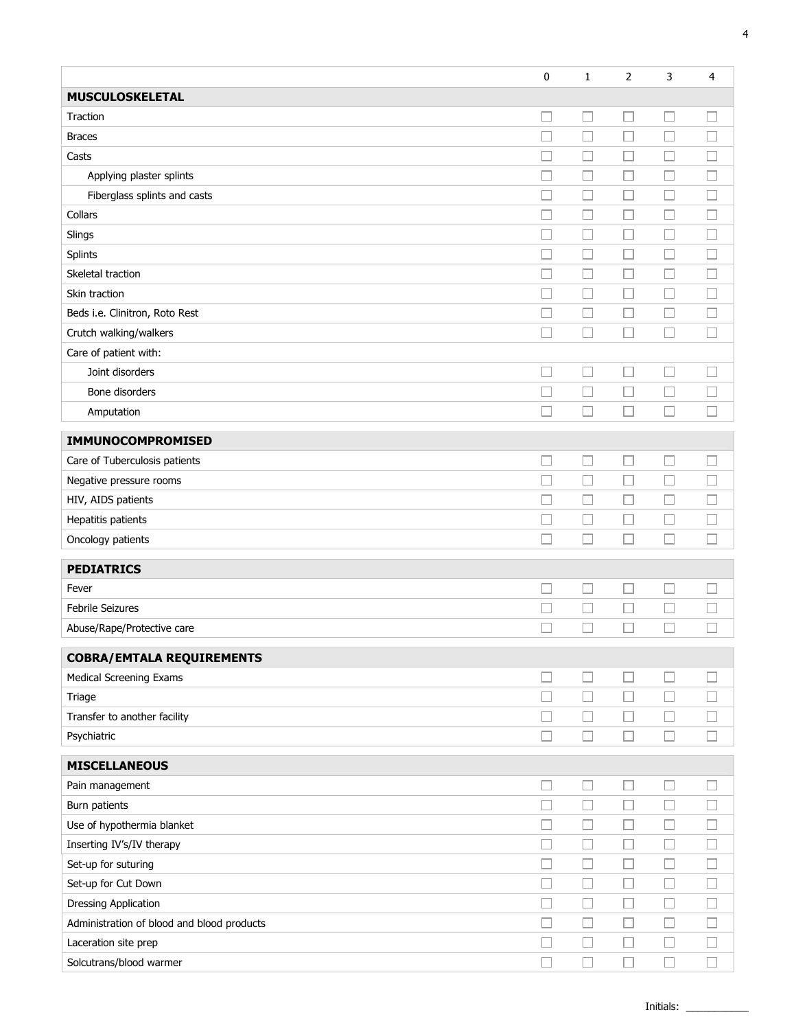|                                            | 0                        | 1      | 2                        | 3      | 4      |
|--------------------------------------------|--------------------------|--------|--------------------------|--------|--------|
| <b>MUSCULOSKELETAL</b>                     |                          |        |                          |        |        |
| Traction                                   | □                        | $\Box$ | Ш                        | $\Box$ | $\Box$ |
| <b>Braces</b>                              |                          | $\Box$ | $\Box$                   | П      | П      |
| Casts                                      |                          | $\Box$ | □                        | $\Box$ | $\Box$ |
| Applying plaster splints                   | $\Box$                   | $\Box$ | П                        | $\Box$ | П      |
| Fiberglass splints and casts               | П                        | $\Box$ | $\Box$                   | $\Box$ | $\Box$ |
| Collars                                    | ۰                        | $\Box$ | □                        | $\Box$ | П      |
| Slings                                     | П                        | $\Box$ | □                        | Е      | П      |
| Splints                                    | □                        | $\Box$ | □                        | $\Box$ |        |
| Skeletal traction                          | П                        | $\Box$ | □                        | $\Box$ |        |
| Skin traction                              | П                        | $\Box$ | □                        | $\Box$ |        |
| Beds i.e. Clinitron, Roto Rest             |                          | $\Box$ | $\Box$                   | E      |        |
| Crutch walking/walkers                     | П                        | $\Box$ | □                        | $\Box$ |        |
| Care of patient with:                      |                          |        |                          |        |        |
| Joint disorders                            |                          | $\Box$ |                          | C      |        |
| Bone disorders                             |                          | $\Box$ | $\overline{\phantom{a}}$ | $\Box$ |        |
| Amputation                                 |                          | $\Box$ | $\Box$                   | $\Box$ |        |
| IMMUNOCOMPROMISED                          |                          |        |                          |        |        |
| Care of Tuberculosis patients              | □                        | $\Box$ | □                        | $\Box$ | П      |
| Negative pressure rooms                    | □                        | $\Box$ | Ш                        | $\Box$ | П      |
| HIV, AIDS patients                         | П                        | $\Box$ | □                        | $\Box$ | П      |
| Hepatitis patients                         | П                        | $\Box$ | $\Box$                   | $\Box$ |        |
| Oncology patients                          | П                        | $\Box$ | П                        | П      |        |
| <b>PEDIATRICS</b>                          |                          |        |                          |        |        |
| Fever                                      |                          | $\Box$ | Ш                        | L      |        |
| Febrile Seizures                           |                          | $\Box$ | $\Box$                   | $\Box$ |        |
| Abuse/Rape/Protective care                 |                          | $\Box$ | Н                        | $\Box$ |        |
| <b>COBRA/EMTALA REQUIREMENTS</b>           |                          |        |                          |        |        |
| <b>Medical Screening Exams</b>             | □                        | $\Box$ | □                        | $\Box$ | $\Box$ |
| Triage                                     | $\overline{\phantom{a}}$ | $\Box$ | □                        | $\Box$ | $\Box$ |
| Transfer to another facility               | □                        | $\Box$ | □                        | $\Box$ | $\Box$ |
| Psychiatric                                | ۰                        | $\Box$ | П                        | $\Box$ | П      |
| <b>MISCELLANEOUS</b>                       |                          |        |                          |        |        |
| Pain management                            | $\Box$                   | $\Box$ | □                        | $\Box$ |        |
| Burn patients                              |                          | $\Box$ | $\Box$                   | $\Box$ |        |
| Use of hypothermia blanket                 |                          | $\Box$ | $\Box$                   | $\Box$ | $\Box$ |
| Inserting IV's/IV therapy                  | □                        | $\Box$ | $\Box$                   | $\Box$ | $\Box$ |
| Set-up for suturing                        |                          | $\Box$ | $\Box$                   | $\Box$ | $\Box$ |
| Set-up for Cut Down                        | $\Box$                   | $\Box$ | $\Box$                   | $\Box$ | $\Box$ |
| Dressing Application                       | □                        | $\Box$ | $\Box$                   | $\Box$ | $\Box$ |
| Administration of blood and blood products | $\Box$                   | $\Box$ | $\Box$                   | $\Box$ | $\Box$ |
| Laceration site prep                       | $\Box$                   | $\Box$ | $\Box$                   | $\Box$ | $\Box$ |
| Solcutrans/blood warmer                    | $\overline{\phantom{a}}$ | $\Box$ | $\Box$                   | $\Box$ | $\Box$ |